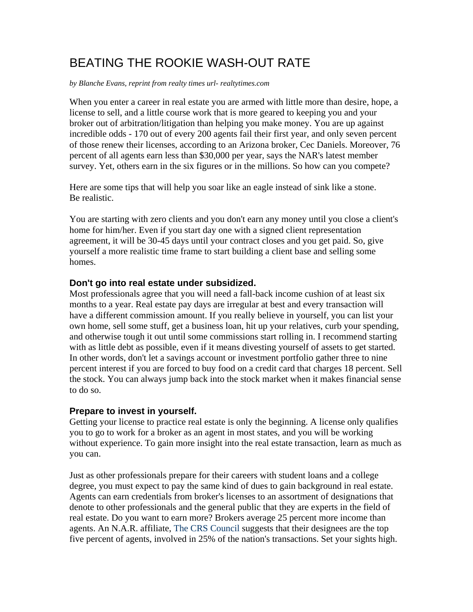# BEATING THE ROOKIE WASH-OUT RATE

*by Blanche Evans, reprint from realty times url- realtytimes.com* 

When you enter a career in real estate you are armed with little more than desire, hope, a license to sell, and a little course work that is more geared to keeping you and your broker out of arbitration/litigation than helping you make money. You are up against incredible odds - 170 out of every 200 agents fail their first year, and only seven percent of those renew their licenses, according to an Arizona broker, Cec Daniels. Moreover, 76 percent of all agents earn less than \$30,000 per year, says the NAR's latest member survey. Yet, others earn in the six figures or in the millions. So how can you compete?

Here are some tips that will help you soar like an eagle instead of sink like a stone. Be realistic.

You are starting with zero clients and you don't earn any money until you close a client's home for him/her. Even if you start day one with a signed client representation agreement, it will be 30-45 days until your contract closes and you get paid. So, give yourself a more realistic time frame to start building a client base and selling some homes.

# **Don't go into real estate under subsidized.**

Most professionals agree that you will need a fall-back income cushion of at least six months to a year. Real estate pay days are irregular at best and every transaction will have a different commission amount. If you really believe in yourself, you can list your own home, sell some stuff, get a business loan, hit up your relatives, curb your spending, and otherwise tough it out until some commissions start rolling in. I recommend starting with as little debt as possible, even if it means divesting yourself of assets to get started. In other words, don't let a savings account or investment portfolio gather three to nine percent interest if you are forced to buy food on a credit card that charges 18 percent. Sell the stock. You can always jump back into the stock market when it makes financial sense to do so.

# **Prepare to invest in yourself.**

Getting your license to practice real estate is only the beginning. A license only qualifies you to go to work for a broker as an agent in most states, and you will be working without experience. To gain more insight into the real estate transaction, learn as much as you can.

Just as other professionals prepare for their careers with student loans and a college degree, you must expect to pay the same kind of dues to gain background in real estate. Agents can earn credentials from broker's licenses to an assortment of designations that denote to other professionals and the general public that they are experts in the field of real estate. Do you want to earn more? Brokers average 25 percent more income than agents. An N.A.R. affiliate, The CRS Council suggests that their designees are the top five percent of agents, involved in 25% of the nation's transactions. Set your sights high.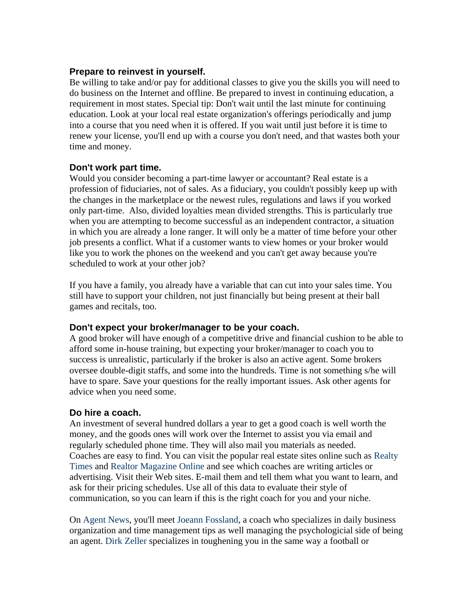#### **Prepare to reinvest in yourself.**

Be willing to take and/or pay for additional classes to give you the skills you will need to do business on the Internet and offline. Be prepared to invest in continuing education, a requirement in most states. Special tip: Don't wait until the last minute for continuing education. Look at your local real estate organization's offerings periodically and jump into a course that you need when it is offered. If you wait until just before it is time to renew your license, you'll end up with a course you don't need, and that wastes both your time and money.

# **Don't work part time.**

Would you consider becoming a part-time lawyer or accountant? Real estate is a profession of fiduciaries, not of sales. As a fiduciary, you couldn't possibly keep up with the changes in the marketplace or the newest rules, regulations and laws if you worked only part-time. Also, divided loyalties mean divided strengths. This is particularly true when you are attempting to become successful as an independent contractor, a situation in which you are already a lone ranger. It will only be a matter of time before your other job presents a conflict. What if a customer wants to view homes or your broker would like you to work the phones on the weekend and you can't get away because you're scheduled to work at your other job?

If you have a family, you already have a variable that can cut into your sales time. You still have to support your children, not just financially but being present at their ball games and recitals, too.

# **Don't expect your broker/manager to be your coach.**

A good broker will have enough of a competitive drive and financial cushion to be able to afford some in-house training, but expecting your broker/manager to coach you to success is unrealistic, particularly if the broker is also an active agent. Some brokers oversee double-digit staffs, and some into the hundreds. Time is not something s/he will have to spare. Save your questions for the really important issues. Ask other agents for advice when you need some.

# **Do hire a coach.**

An investment of several hundred dollars a year to get a good coach is well worth the money, and the goods ones will work over the Internet to assist you via email and regularly scheduled phone time. They will also mail you materials as needed. Coaches are easy to find. You can visit the popular real estate sites online such as Realty Times and Realtor Magazine Online and see which coaches are writing articles or advertising. Visit their Web sites. E-mail them and tell them what you want to learn, and ask for their pricing schedules. Use all of this data to evaluate their style of communication, so you can learn if this is the right coach for you and your niche.

On Agent News, you'll meet Joeann Fossland, a coach who specializes in daily business organization and time management tips as well managing the psychologicial side of being an agent. Dirk Zeller specializes in toughening you in the same way a football or